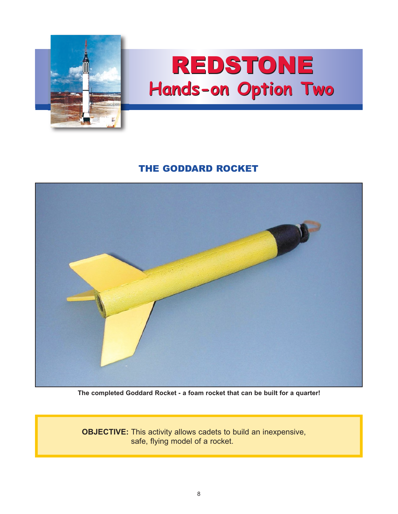

## REDSTONE **Hands-on Option Two**

## THE GODDARD ROCKET



**The completed Goddard Rocket - a foam rocket that can be built for a quarter!**

**OBJECTIVE:** This activity allows cadets to build an inexpensive, safe, flying model of a rocket.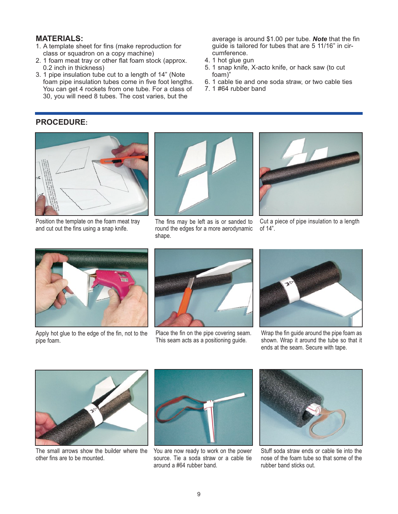## **MATERIALS:**

- 1. A template sheet for fins (make reproduction for class or squadron on a copy machine)
- 2. 1 foam meat tray or other flat foam stock (approx. 0.2 inch in thickness)
- 3. 1 pipe insulation tube cut to a length of 14" (Note foam pipe insulation tubes come in five foot lengths. You can get 4 rockets from one tube. For a class of 30, you will need 8 tubes. The cost varies, but the

average is around \$1.00 per tube. *Note* that the fin guide is tailored for tubes that are 5 11/16" in circumference.

- 4. 1 hot glue gun
- 5. 1 snap knife, X-acto knife, or hack saw (to cut foam)"
- 6. 1 cable tie and one soda straw, or two cable ties
- 7. 1 #64 rubber band

## **PROCEDURE:**



Position the template on the foam meat tray and cut out the fins using a snap knife.



The fins may be left as is or sanded to round the edges for a more aerodynamic shape.



Cut a piece of pipe insulation to a length of 14".



Apply hot glue to the edge of the fin, not to the pipe foam.



Place the fin on the pipe covering seam. This seam acts as a positioning guide.



Wrap the fin guide around the pipe foam as shown. Wrap it around the tube so that it ends at the seam. Secure with tape.



The small arrows show the builder where the You are now ready to work on the power other fins are to be mounted.



source. Tie a soda straw or a cable tie around a #64 rubber band.



Stuff soda straw ends or cable tie into the nose of the foam tube so that some of the rubber band sticks out.